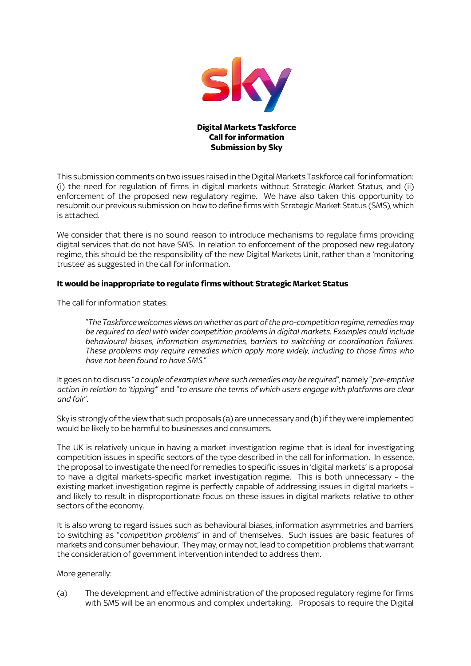

This submission comments on two issues raised in the Digital Markets Taskforce call for information: (i) the need for regulation of firms in digital markets without Strategic Market Status, and (ii) enforcement of the proposed new regulatory regime. We have also taken this opportunity to resubmit our previous submission on how to define firms with Strategic Market Status (SMS), which is attached.

We consider that there is no sound reason to introduce mechanisms to regulate firms providing digital services that do not have SMS. In relation to enforcement of the proposed new regulatory regime, this should be the responsibility of the new Digital Markets Unit, rather than a 'monitoring trustee' as suggested in the call for information.

## **It would be inappropriate to regulate firms without Strategic Market Status**

The call for information states:

"*The Taskforce welcomes views on whether as part of the pro-competition regime, remedies may be required to deal with wider competition problems in digital markets. Examples could include behavioural biases, information asymmetries, barriers to switching or coordination failures. These problems may require remedies which apply more widely, including to those firms who have not been found to have SMS.*"

It goes on to discuss "*a couple of examples where such remedies may be required*", namely "*pre-emptive action in relation to 'tipping'*" and "*to ensure the terms of which users engage with platforms are clear and fair*".

Sky is strongly of the view that such proposals (a) are unnecessary and (b) if they were implemented would be likely to be harmful to businesses and consumers.

The UK is relatively unique in having a market investigation regime that is ideal for investigating competition issues in specific sectors of the type described in the call for information. In essence, the proposal to investigate the need for remedies to specific issues in 'digital markets' is a proposal to have a digital markets-specific market investigation regime. This is both unnecessary – the existing market investigation regime is perfectly capable of addressing issues in digital markets – and likely to result in disproportionate focus on these issues in digital markets relative to other sectors of the economy.

It is also wrong to regard issues such as behavioural biases, information asymmetries and barriers to switching as "*competition problems*" in and of themselves. Such issues are basic features of markets and consumer behaviour. They may, or may not, lead to competition problems that warrant the consideration of government intervention intended to address them.

More generally:

(a) The development and effective administration of the proposed regulatory regime for firms with SMS will be an enormous and complex undertaking. Proposals to require the Digital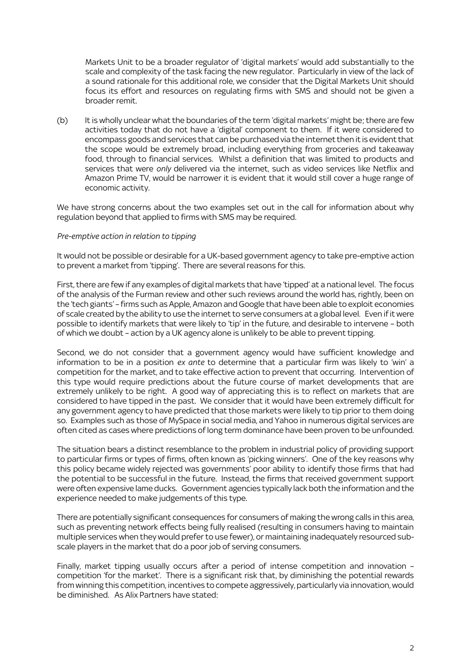Markets Unit to be a broader regulator of 'digital markets' would add substantially to the scale and complexity of the task facing the new regulator. Particularly in view of the lack of a sound rationale for this additional role, we consider that the Digital Markets Unit should focus its effort and resources on regulating firms with SMS and should not be given a broader remit.

(b) It is wholly unclear what the boundaries of the term 'digital markets' might be; there are few activities today that do not have a 'digital' component to them. If it were considered to encompass goods and services that can be purchased via the internet then it is evident that the scope would be extremely broad, including everything from groceries and takeaway food, through to financial services. Whilst a definition that was limited to products and services that were *only* delivered via the internet, such as video services like Netflix and Amazon Prime TV, would be narrower it is evident that it would still cover a huge range of economic activity.

We have strong concerns about the two examples set out in the call for information about why regulation beyond that applied to firms with SMS may be required.

### *Pre-emptive action in relation to tipping*

It would not be possible or desirable for a UK-based government agency to take pre-emptive action to prevent a market from 'tipping'. There are several reasons for this.

First, there are few if any examples of digital markets that have 'tipped' at a national level. The focus of the analysis of the Furman review and other such reviews around the world has, rightly, been on the 'tech giants' – firms such as Apple, Amazon and Google that have been able to exploit economies of scale created by the ability to use the internet to serve consumers at a global level. Even if it were possible to identify markets that were likely to 'tip' in the future, and desirable to intervene – both of which we doubt – action by a UK agency alone is unlikely to be able to prevent tipping.

Second, we do not consider that a government agency would have sufficient knowledge and information to be in a position *ex ante* to determine that a particular firm was likely to 'win' a competition for the market, and to take effective action to prevent that occurring. Intervention of this type would require predictions about the future course of market developments that are extremely unlikely to be right. A good way of appreciating this is to reflect on markets that are considered to have tipped in the past. We consider that it would have been extremely difficult for any government agency to have predicted that those markets were likely to tip prior to them doing so. Examples such as those of MySpace in social media, and Yahoo in numerous digital services are often cited as cases where predictions of long term dominance have been proven to be unfounded.

The situation bears a distinct resemblance to the problem in industrial policy of providing support to particular firms or types of firms, often known as 'picking winners'. One of the key reasons why this policy became widely rejected was governments' poor ability to identify those firms that had the potential to be successful in the future. Instead, the firms that received government support were often expensive lame ducks. Government agencies typically lack both the information and the experience needed to make judgements of this type.

There are potentially significant consequences for consumers of making the wrong calls in this area, such as preventing network effects being fully realised (resulting in consumers having to maintain multiple services when they would prefer to use fewer), or maintaining inadequately resourced subscale players in the market that do a poor job of serving consumers.

Finally, market tipping usually occurs after a period of intense competition and innovation – competition 'for the market'. There is a significant risk that, by diminishing the potential rewards from winning this competition, incentives to compete aggressively, particularly via innovation, would be diminished. As Alix Partners have stated: